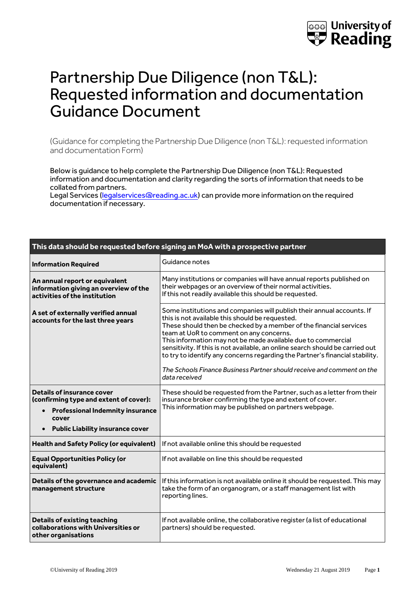

## Partnership Due Diligence (non T&L): Requested information and documentation Guidance Document

(Guidance for completing the Partnership Due Diligence (non T&L): requested information and documentation Form)

Below is guidance to help complete the Partnership Due Diligence (non T&L): Requested information and documentation and clarity regarding the sorts of information that needs to be collated from partners.

Legal Services [\(legalservices@reading.ac.uk\)](mailto:legalservices@reading.ac.uk) can provide more information on the required documentation if necessary.

| This data should be requested before signing an MoA with a prospective partner                                                                                                          |                                                                                                                                                                                                                                                                                                                                                                                                                                                                                                                                                                        |  |
|-----------------------------------------------------------------------------------------------------------------------------------------------------------------------------------------|------------------------------------------------------------------------------------------------------------------------------------------------------------------------------------------------------------------------------------------------------------------------------------------------------------------------------------------------------------------------------------------------------------------------------------------------------------------------------------------------------------------------------------------------------------------------|--|
| <b>Information Required</b>                                                                                                                                                             | Guidance notes                                                                                                                                                                                                                                                                                                                                                                                                                                                                                                                                                         |  |
| An annual report or equivalent<br>information giving an overview of the<br>activities of the institution                                                                                | Many institutions or companies will have annual reports published on<br>their webpages or an overview of their normal activities.<br>If this not readily available this should be requested.                                                                                                                                                                                                                                                                                                                                                                           |  |
| A set of externally verified annual<br>accounts for the last three years                                                                                                                | Some institutions and companies will publish their annual accounts. If<br>this is not available this should be requested.<br>These should then be checked by a member of the financial services<br>team at UoR to comment on any concerns.<br>This information may not be made available due to commercial<br>sensitivity. If this is not available, an online search should be carried out<br>to try to identify any concerns regarding the Partner's financial stability.<br>The Schools Finance Business Partner should receive and comment on the<br>data received |  |
| <b>Details of insurance cover</b><br>(confirming type and extent of cover):<br><b>Professional Indemnity insurance</b><br>cover<br><b>Public Liability insurance cover</b><br>$\bullet$ | These should be requested from the Partner, such as a letter from their<br>insurance broker confirming the type and extent of cover.<br>This information may be published on partners webpage.                                                                                                                                                                                                                                                                                                                                                                         |  |
| <b>Health and Safety Policy (or equivalent)</b>                                                                                                                                         | If not available online this should be requested                                                                                                                                                                                                                                                                                                                                                                                                                                                                                                                       |  |
| <b>Equal Opportunities Policy (or</b><br>equivalent)                                                                                                                                    | If not available on line this should be requested                                                                                                                                                                                                                                                                                                                                                                                                                                                                                                                      |  |
| Details of the governance and academic<br>management structure                                                                                                                          | If this information is not available online it should be requested. This may<br>take the form of an organogram, or a staff management list with<br>reporting lines.                                                                                                                                                                                                                                                                                                                                                                                                    |  |
| <b>Details of existing teaching</b><br>collaborations with Universities or<br>other organisations                                                                                       | If not available online, the collaborative register (a list of educational<br>partners) should be requested.                                                                                                                                                                                                                                                                                                                                                                                                                                                           |  |